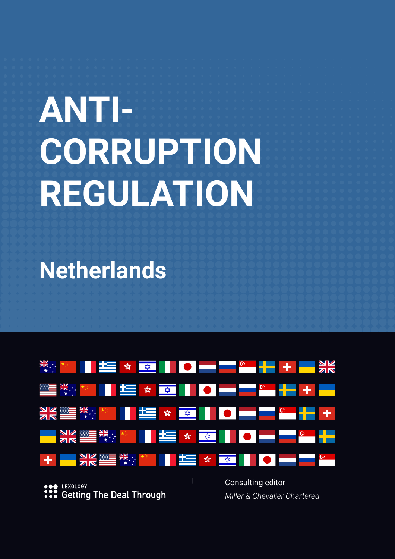# **ANTI-CORRUPTION REGULATION**

**Netherlands**



LEXOLOGY **Getting The Deal Through**  Consulting editor *Miller & Chevalier Chartered*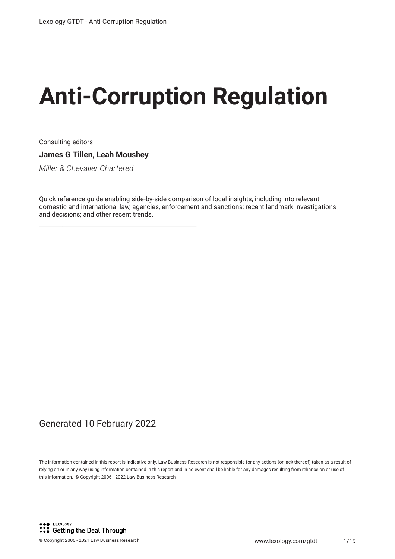# **Anti-Corruption Regulation**

Consulting editors **James G Tillen, Leah Moushey**

*Miller & Chevalier Chartered*

Quick reference guide enabling side-by-side comparison of local insights, including into relevant domestic and international law, agencies, enforcement and sanctions; recent landmark investigations and decisions; and other recent trends.

#### Generated 10 February 2022

The information contained in this report is indicative only. Law Business Research is not responsible for any actions (or lack thereof) taken as a result of relying on or in any way using information contained in this report and in no event shall be liable for any damages resulting from reliance on or use of this information. © Copyright 2006 - 2022 Law Business Research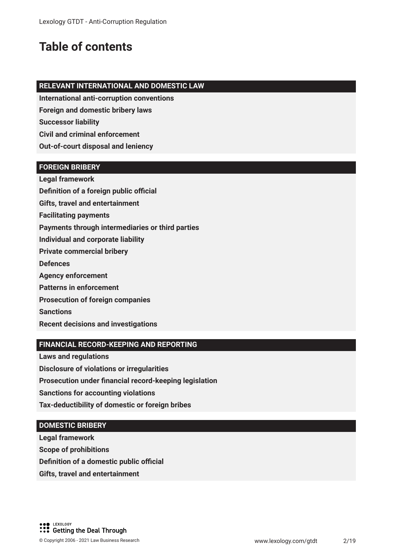## **Table of contents**

#### **RELEVANT INTERNATIONAL AND DOMESTIC LAW**

**International anti-corruption conventions**

**Foreign and domestic bribery laws**

**Successor liability**

**Civil and criminal enforcement**

**Out-of-court disposal and leniency**

#### **FOREIGN BRIBERY**

**Legal framework Definition of a foreign public official** 

**Gifts, travel and entertainment** 

**Facilitating payments**

**Payments through intermediaries or third parties**

**Individual and corporate liability**

**Private commercial bribery**

**Defences**

**Agency enforcement**

**Patterns in enforcement**

**Prosecution of foreign companies**

**Sanctions**

**Recent decisions and investigations**

#### **FINANCIAL RECORD-KEEPING AND REPORTING**

**Laws and regulations**

**Disclosure of violations or irregularities**

**Prosecution under fnancial record-keeping legislation**

**Sanctions for accounting violations**

**Tax-deductibility of domestic or foreign bribes**

#### **DOMESTIC BRIBERY**

**Legal framework**

**Scope of prohibitions**

**Definition of a domestic public official** 

**Gifts, travel and entertainment**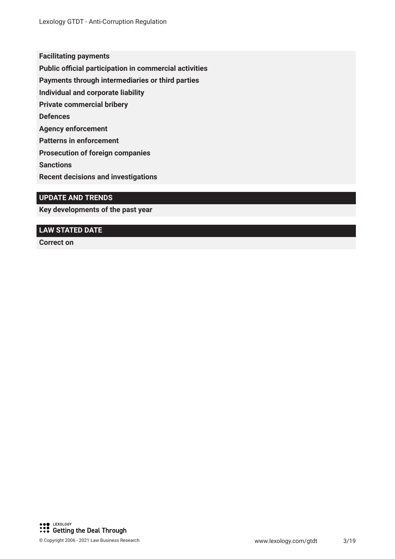**Facilitating payments**

**Public official participation in commercial activities** 

**Payments through intermediaries or third parties**

**Individual and corporate liability**

**Private commercial bribery**

**Defences**

**Agency enforcement**

**Patterns in enforcement**

**Prosecution of foreign companies**

**Sanctions**

**Recent decisions and investigations**

#### **UPDATE AND TRENDS**

**Key developments of the past year**

#### **LAW STATED DATE**

**Correct on**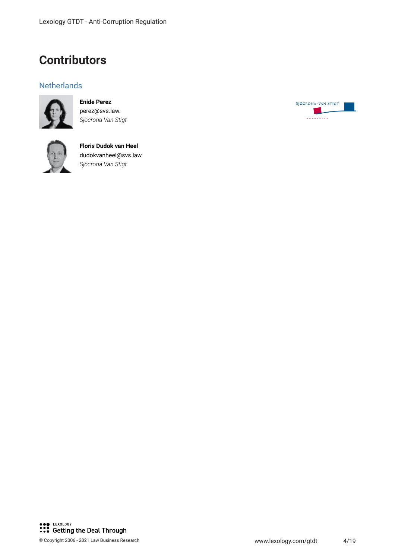### **Contributors**

#### **Netherlands**



**Enide Perez** perez@svs.law. *Sjöcrona Van Stigt*



**Floris Dudok van Heel** dudokvanheel@svs.law *Sjöcrona Van Stigt*

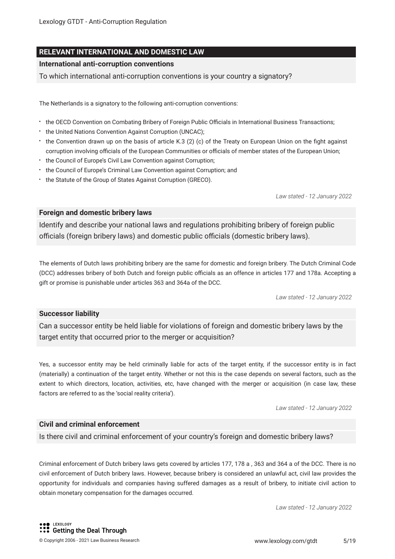#### **RELEVANT INTERNATIONAL AND DOMESTIC LAW**

#### **International anti-corruption conventions**

To which international anti-corruption conventions is your country a signatory?

The Netherlands is a signatory to the following anti-corruption conventions:

- the OECD Convention on Combating Bribery of Foreign Public Officials in International Business Transactions;
- the United Nations Convention Against Corruption (UNCAC);
- the Convention drawn up on the basis of article K.3 (2) (c) of the Treaty on European Union on the fght against corruption involving officials of the European Communities or officials of member states of the European Union;
- the Council of Europe's Civil Law Convention against Corruption;
- the Council of Europe's Criminal Law Convention against Corruption; and
- the Statute of the Group of States Against Corruption (GRECO).

*Law stated - 12 January 2022*

#### **Foreign and domestic bribery laws**

Identify and describe your national laws and regulations prohibiting bribery of foreign public officials (foreign bribery laws) and domestic public officials (domestic bribery laws).

The elements of Dutch laws prohibiting bribery are the same for domestic and foreign bribery. The Dutch Criminal Code (DCC) addresses bribery of both Dutch and foreign public officials as an offence in articles 177 and 178a. Accepting a gift or promise is punishable under articles 363 and 364a of the DCC.

*Law stated - 12 January 2022*

#### **Successor liability**

Can a successor entity be held liable for violations of foreign and domestic bribery laws by the target entity that occurred prior to the merger or acquisition?

Yes, a successor entity may be held criminally liable for acts of the target entity, if the successor entity is in fact (materially) a continuation of the target entity. Whether or not this is the case depends on several factors, such as the extent to which directors, location, activities, etc, have changed with the merger or acquisition (in case law, these factors are referred to as the 'social reality criteria').

*Law stated - 12 January 2022*

#### **Civil and criminal enforcement**

Is there civil and criminal enforcement of your country's foreign and domestic bribery laws?

Criminal enforcement of Dutch bribery laws gets covered by articles 177, 178 a , 363 and 364 a of the DCC. There is no civil enforcement of Dutch bribery laws. However, because bribery is considered an unlawful act, civil law provides the opportunity for individuals and companies having suffered damages as a result of bribery, to initiate civil action to obtain monetary compensation for the damages occurred.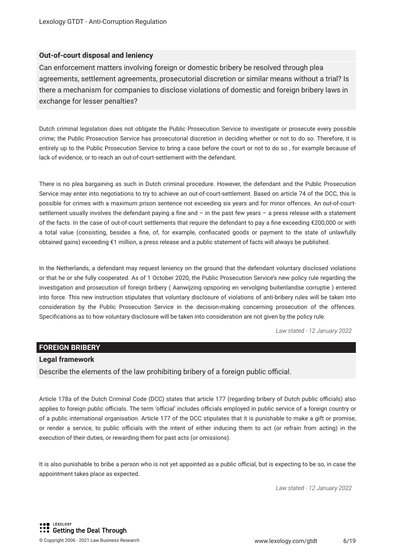#### **Out-of-court disposal and leniency**

Can enforcement matters involving foreign or domestic bribery be resolved through plea agreements, settlement agreements, prosecutorial discretion or similar means without a trial? Is there a mechanism for companies to disclose violations of domestic and foreign bribery laws in exchange for lesser penalties?

Dutch criminal legislation does not obligate the Public Prosecution Service to investigate or prosecute every possible crime; the Public Prosecution Service has prosecutorial discretion in deciding whether or not to do so. Therefore, it is entirely up to the Public Prosecution Service to bring a case before the court or not to do so , for example because of lack of evidence, or to reach an out-of-court-settlement with the defendant.

There is no plea bargaining as such in Dutch criminal procedure. However, the defendant and the Public Prosecution Service may enter into negotiations to try to achieve an out-of-court-settlement. Based on article 74 of the DCC, this is possible for crimes with a maximum prison sentence not exceeding six years and for minor offences. An out-of-courtsettlement usually involves the defendant paying a fne and – in the past few years – a press release with a statement of the facts. In the case of out-of-court settlements that require the defendant to pay a fne exceeding €200,000 or with a total value (consisting, besides a fne, of, for example, confscated goods or payment to the state of unlawfully obtained gains) exceeding €1 million, a press release and a public statement of facts will always be published.

In the Netherlands, a defendant may request leniency on the ground that the defendant voluntary disclosed violations or that he or she fully cooperated. As of 1 October 2020, the Public Prosecution Service's new policy rule regarding the investigation and prosecution of foreign bribery ( Aanwijzing opsporing en vervolging buitenlandse corruptie ) entered into force. This new instruction stipulates that voluntary disclosure of violations of anti-bribery rules will be taken into consideration by the Public Prosecution Service in the decision-making concerning prosecution of the offences. Specifcations as to how voluntary disclosure will be taken into consideration are not given by the policy rule.

*Law stated - 12 January 2022*

#### **FOREIGN BRIBERY**

#### **Legal framework**

Describe the elements of the law prohibiting bribery of a foreign public official.

Article 178a of the Dutch Criminal Code (DCC) states that article 177 (regarding bribery of Dutch public officials) also applies to foreign public officials. The term 'official' includes officials employed in public service of a foreign country or of a public international organisation. Article 177 of the DCC stipulates that it is punishable to make a gift or promise, or render a service, to public ofcials with the intent of either inducing them to act (or refrain from acting) in the execution of their duties, or rewarding them for past acts (or omissions).

It is also punishable to bribe a person who is not yet appointed as a public official, but is expecting to be so, in case the appointment takes place as expected.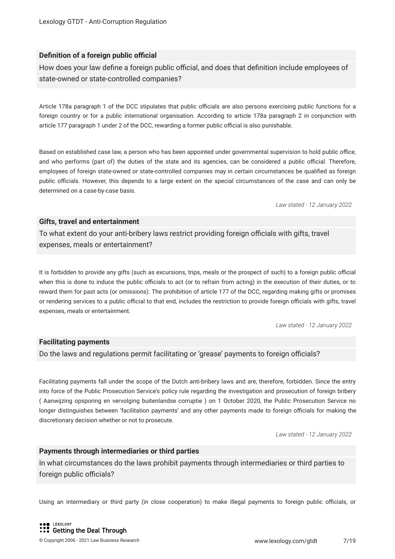#### **Definition of a foreign public official**

How does your law define a foreign public official, and does that definition include employees of state-owned or state-controlled companies?

Article 178a paragraph 1 of the DCC stipulates that public officials are also persons exercising public functions for a foreign country or for a public international organisation. According to article 178a paragraph 2 in conjunction with article 177 paragraph 1 under 2 of the DCC, rewarding a former public official is also punishable.

Based on established case law, a person who has been appointed under governmental supervision to hold public office, and who performs (part of) the duties of the state and its agencies, can be considered a public official. Therefore, employees of foreign state-owned or state-controlled companies may in certain circumstances be qualifed as foreign public officials. However, this depends to a large extent on the special circumstances of the case and can only be determined on a case-by-case basis.

*Law stated - 12 January 2022*

#### **Gifts, travel and entertainment**

To what extent do your anti-bribery laws restrict providing foreign officials with gifts, travel expenses, meals or entertainment?

It is forbidden to provide any gifts (such as excursions, trips, meals or the prospect of such) to a foreign public official when this is done to induce the public officials to act (or to refrain from acting) in the execution of their duties, or to reward them for past acts (or omissions). The prohibition of article 177 of the DCC, regarding making gifts or promises or rendering services to a public official to that end, includes the restriction to provide foreign officials with gifts, travel expenses, meals or entertainment.

*Law stated - 12 January 2022*

#### **Facilitating payments**

Do the laws and regulations permit facilitating or 'grease' payments to foreign officials?

Facilitating payments fall under the scope of the Dutch anti-bribery laws and are, therefore, forbidden. Since the entry into force of the Public Prosecution Service's policy rule regarding the investigation and prosecution of foreign bribery ( Aanwijzing opsporing en vervolging buitenlandse corruptie ) on 1 October 2020, the Public Prosecution Service no longer distinguishes between 'facilitation payments' and any other payments made to foreign officials for making the discretionary decision whether or not to prosecute.

*Law stated - 12 January 2022*

#### **Payments through intermediaries or third parties**

In what circumstances do the laws prohibit payments through intermediaries or third parties to foreign public officials?

Using an intermediary or third party (in close cooperation) to make illegal payments to foreign public officials, or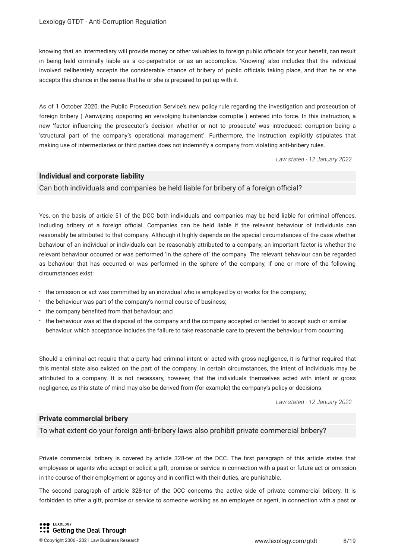knowing that an intermediary will provide money or other valuables to foreign public officials for your benefit, can result in being held criminally liable as a co-perpetrator or as an accomplice. 'Knowing' also includes that the individual involved deliberately accepts the considerable chance of bribery of public officials taking place, and that he or she accepts this chance in the sense that he or she is prepared to put up with it.

As of 1 October 2020, the Public Prosecution Service's new policy rule regarding the investigation and prosecution of foreign bribery ( Aanwijzing opsporing en vervolging buitenlandse corruptie ) entered into force. In this instruction, a new 'factor infuencing the prosecutor's decision whether or not to prosecute' was introduced: corruption being a 'structural part of the company's operational management'. Furthermore, the instruction explicitly stipulates that making use of intermediaries or third parties does not indemnify a company from violating anti-bribery rules.

*Law stated - 12 January 2022*

#### **Individual and corporate liability**

Can both individuals and companies be held liable for bribery of a foreign official?

Yes, on the basis of article 51 of the DCC both individuals and companies may be held liable for criminal offences, including bribery of a foreign official. Companies can be held liable if the relevant behaviour of individuals can reasonably be attributed to that company. Although it highly depends on the special circumstances of the case whether behaviour of an individual or individuals can be reasonably attributed to a company, an important factor is whether the relevant behaviour occurred or was performed 'in the sphere of' the company. The relevant behaviour can be regarded as behaviour that has occurred or was performed in the sphere of the company, if one or more of the following circumstances exist:

- the omission or act was committed by an individual who is employed by or works for the company;
- the behaviour was part of the company's normal course of business;
- the company benefited from that behaviour; and
- the behaviour was at the disposal of the company and the company accepted or tended to accept such or similar behaviour, which acceptance includes the failure to take reasonable care to prevent the behaviour from occurring.

Should a criminal act require that a party had criminal intent or acted with gross negligence, it is further required that this mental state also existed on the part of the company. In certain circumstances, the intent of individuals may be attributed to a company. It is not necessary, however, that the individuals themselves acted with intent or gross negligence, as this state of mind may also be derived from (for example) the company's policy or decisions.

*Law stated - 12 January 2022*

#### **Private commercial bribery**

To what extent do your foreign anti-bribery laws also prohibit private commercial bribery?

Private commercial bribery is covered by article 328-ter of the DCC. The frst paragraph of this article states that employees or agents who accept or solicit a gift, promise or service in connection with a past or future act or omission in the course of their employment or agency and in confict with their duties, are punishable.

The second paragraph of article 328-ter of the DCC concerns the active side of private commercial bribery. It is forbidden to offer a gift, promise or service to someone working as an employee or agent, in connection with a past or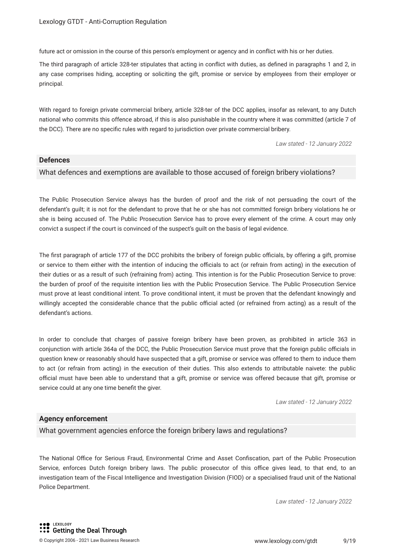future act or omission in the course of this person's employment or agency and in confict with his or her duties.

The third paragraph of article 328-ter stipulates that acting in confict with duties, as defned in paragraphs 1 and 2, in any case comprises hiding, accepting or soliciting the gift, promise or service by employees from their employer or principal.

With regard to foreign private commercial bribery, article 328-ter of the DCC applies, insofar as relevant, to any Dutch national who commits this offence abroad, if this is also punishable in the country where it was committed (article 7 of the DCC). There are no specifc rules with regard to jurisdiction over private commercial bribery.

*Law stated - 12 January 2022*

#### **Defences**

#### What defences and exemptions are available to those accused of foreign bribery violations?

The Public Prosecution Service always has the burden of proof and the risk of not persuading the court of the defendant's guilt; it is not for the defendant to prove that he or she has not committed foreign bribery violations he or she is being accused of. The Public Prosecution Service has to prove every element of the crime. A court may only convict a suspect if the court is convinced of the suspect's guilt on the basis of legal evidence.

The first paragraph of article 177 of the DCC prohibits the bribery of foreign public officials, by offering a gift, promise or service to them either with the intention of inducing the officials to act (or refrain from acting) in the execution of their duties or as a result of such (refraining from) acting. This intention is for the Public Prosecution Service to prove: the burden of proof of the requisite intention lies with the Public Prosecution Service. The Public Prosecution Service must prove at least conditional intent. To prove conditional intent, it must be proven that the defendant knowingly and willingly accepted the considerable chance that the public official acted (or refrained from acting) as a result of the defendant's actions.

In order to conclude that charges of passive foreign bribery have been proven, as prohibited in article 363 in conjunction with article 364a of the DCC, the Public Prosecution Service must prove that the foreign public officials in question knew or reasonably should have suspected that a gift, promise or service was offered to them to induce them to act (or refrain from acting) in the execution of their duties. This also extends to attributable naivete: the public official must have been able to understand that a gift, promise or service was offered because that gift, promise or service could at any one time beneft the giver.

*Law stated - 12 January 2022*

#### **Agency enforcement**

What government agencies enforce the foreign bribery laws and regulations?

The National Office for Serious Fraud, Environmental Crime and Asset Confiscation, part of the Public Prosecution Service, enforces Dutch foreign bribery laws. The public prosecutor of this office gives lead, to that end, to an investigation team of the Fiscal Intelligence and Investigation Division (FIOD) or a specialised fraud unit of the National Police Department.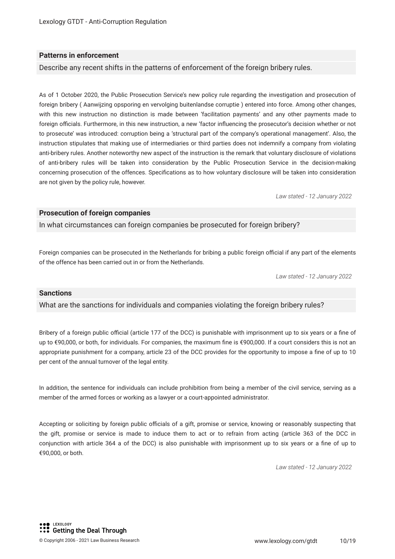#### **Patterns in enforcement**

Describe any recent shifts in the patterns of enforcement of the foreign bribery rules.

As of 1 October 2020, the Public Prosecution Service's new policy rule regarding the investigation and prosecution of foreign bribery ( Aanwijzing opsporing en vervolging buitenlandse corruptie ) entered into force. Among other changes, with this new instruction no distinction is made between 'facilitation payments' and any other payments made to foreign officials. Furthermore, in this new instruction, a new 'factor influencing the prosecutor's decision whether or not to prosecute' was introduced: corruption being a 'structural part of the company's operational management'. Also, the instruction stipulates that making use of intermediaries or third parties does not indemnify a company from violating anti-bribery rules. Another noteworthy new aspect of the instruction is the remark that voluntary disclosure of violations of anti-bribery rules will be taken into consideration by the Public Prosecution Service in the decision-making concerning prosecution of the offences. Specifcations as to how voluntary disclosure will be taken into consideration are not given by the policy rule, however.

*Law stated - 12 January 2022*

#### **Prosecution of foreign companies**

In what circumstances can foreign companies be prosecuted for foreign bribery?

Foreign companies can be prosecuted in the Netherlands for bribing a public foreign official if any part of the elements of the offence has been carried out in or from the Netherlands.

*Law stated - 12 January 2022*

#### **Sanctions**

What are the sanctions for individuals and companies violating the foreign bribery rules?

Bribery of a foreign public official (article 177 of the DCC) is punishable with imprisonment up to six years or a fine of up to €90,000, or both, for individuals. For companies, the maximum fne is €900,000. If a court considers this is not an appropriate punishment for a company, article 23 of the DCC provides for the opportunity to impose a fne of up to 10 per cent of the annual turnover of the legal entity.

In addition, the sentence for individuals can include prohibition from being a member of the civil service, serving as a member of the armed forces or working as a lawyer or a court-appointed administrator.

Accepting or soliciting by foreign public officials of a gift, promise or service, knowing or reasonably suspecting that the gift, promise or service is made to induce them to act or to refrain from acting (article 363 of the DCC in conjunction with article 364 a of the DCC) is also punishable with imprisonment up to six years or a fne of up to €90,000, or both.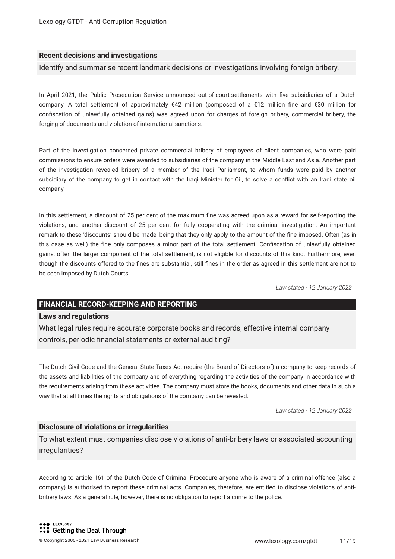#### **Recent decisions and investigations**

Identify and summarise recent landmark decisions or investigations involving foreign bribery.

In April 2021, the Public Prosecution Service announced out-of-court-settlements with fve subsidiaries of a Dutch company. A total settlement of approximately €42 million (composed of a €12 million fne and €30 million for confscation of unlawfully obtained gains) was agreed upon for charges of foreign bribery, commercial bribery, the forging of documents and violation of international sanctions.

Part of the investigation concerned private commercial bribery of employees of client companies, who were paid commissions to ensure orders were awarded to subsidiaries of the company in the Middle East and Asia. Another part of the investigation revealed bribery of a member of the Iraqi Parliament, to whom funds were paid by another subsidiary of the company to get in contact with the Iraqi Minister for Oil, to solve a confict with an Iraqi state oil company.

In this settlement, a discount of 25 per cent of the maximum fine was agreed upon as a reward for self-reporting the violations, and another discount of 25 per cent for fully cooperating with the criminal investigation. An important remark to these 'discounts' should be made, being that they only apply to the amount of the fne imposed. Often (as in this case as well) the fne only composes a minor part of the total settlement. Confscation of unlawfully obtained gains, often the larger component of the total settlement, is not eligible for discounts of this kind. Furthermore, even though the discounts offered to the fnes are substantial, still fnes in the order as agreed in this settlement are not to be seen imposed by Dutch Courts.

*Law stated - 12 January 2022*

#### **FINANCIAL RECORD-KEEPING AND REPORTING**

#### **Laws and regulations**

What legal rules require accurate corporate books and records, effective internal company controls, periodic fnancial statements or external auditing?

The Dutch Civil Code and the General State Taxes Act require (the Board of Directors of) a company to keep records of the assets and liabilities of the company and of everything regarding the activities of the company in accordance with the requirements arising from these activities. The company must store the books, documents and other data in such a way that at all times the rights and obligations of the company can be revealed.

*Law stated - 12 January 2022*

#### **Disclosure of violations or irregularities**

To what extent must companies disclose violations of anti-bribery laws or associated accounting irregularities?

According to article 161 of the Dutch Code of Criminal Procedure anyone who is aware of a criminal offence (also a company) is authorised to report these criminal acts. Companies, therefore, are entitled to disclose violations of antibribery laws. As a general rule, however, there is no obligation to report a crime to the police.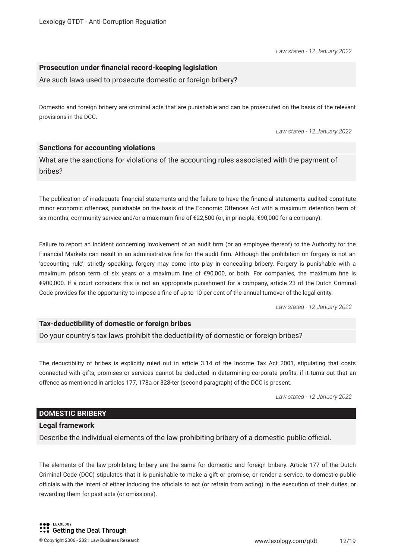*Law stated - 12 January 2022*

#### **Prosecution under fnancial record-keeping legislation**

Are such laws used to prosecute domestic or foreign bribery?

Domestic and foreign bribery are criminal acts that are punishable and can be prosecuted on the basis of the relevant provisions in the DCC.

*Law stated - 12 January 2022*

#### **Sanctions for accounting violations**

What are the sanctions for violations of the accounting rules associated with the payment of bribes?

The publication of inadequate fnancial statements and the failure to have the fnancial statements audited constitute minor economic offences, punishable on the basis of the Economic Offences Act with a maximum detention term of six months, community service and/or a maximum fne of €22,500 (or, in principle, €90,000 for a company).

Failure to report an incident concerning involvement of an audit frm (or an employee thereof) to the Authority for the Financial Markets can result in an administrative fne for the audit frm. Although the prohibition on forgery is not an 'accounting rule', strictly speaking, forgery may come into play in concealing bribery. Forgery is punishable with a maximum prison term of six years or a maximum fne of €90,000, or both. For companies, the maximum fne is €900,000. If a court considers this is not an appropriate punishment for a company, article 23 of the Dutch Criminal Code provides for the opportunity to impose a fne of up to 10 per cent of the annual turnover of the legal entity.

*Law stated - 12 January 2022*

#### **Tax-deductibility of domestic or foreign bribes**

Do your country's tax laws prohibit the deductibility of domestic or foreign bribes?

The deductibility of bribes is explicitly ruled out in article 3.14 of the Income Tax Act 2001, stipulating that costs connected with gifts, promises or services cannot be deducted in determining corporate profts, if it turns out that an offence as mentioned in articles 177, 178a or 328-ter (second paragraph) of the DCC is present.

*Law stated - 12 January 2022*

#### **DOMESTIC BRIBERY**

#### **Legal framework**

Describe the individual elements of the law prohibiting bribery of a domestic public official.

The elements of the law prohibiting bribery are the same for domestic and foreign bribery. Article 177 of the Dutch Criminal Code (DCC) stipulates that it is punishable to make a gift or promise, or render a service, to domestic public officials with the intent of either inducing the officials to act (or refrain from acting) in the execution of their duties, or rewarding them for past acts (or omissions).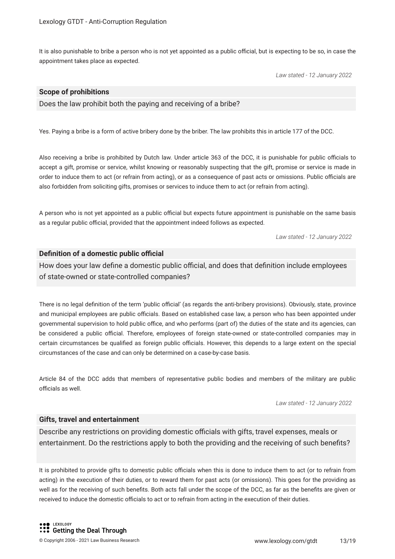It is also punishable to bribe a person who is not yet appointed as a public official, but is expecting to be so, in case the appointment takes place as expected.

*Law stated - 12 January 2022*

#### **Scope of prohibitions**

Does the law prohibit both the paying and receiving of a bribe?

Yes. Paying a bribe is a form of active bribery done by the briber. The law prohibits this in article 177 of the DCC.

Also receiving a bribe is prohibited by Dutch law. Under article 363 of the DCC, it is punishable for public officials to accept a gift, promise or service, whilst knowing or reasonably suspecting that the gift, promise or service is made in order to induce them to act (or refrain from acting), or as a consequence of past acts or omissions. Public officials are also forbidden from soliciting gifts, promises or services to induce them to act (or refrain from acting).

A person who is not yet appointed as a public official but expects future appointment is punishable on the same basis as a regular public official, provided that the appointment indeed follows as expected.

*Law stated - 12 January 2022*

#### **Definition of a domestic public official**

How does your law define a domestic public official, and does that definition include employees of state-owned or state-controlled companies?

There is no legal definition of the term 'public official' (as regards the anti-bribery provisions). Obviously, state, province and municipal employees are public officials. Based on established case law, a person who has been appointed under governmental supervision to hold public office, and who performs (part of) the duties of the state and its agencies, can be considered a public official. Therefore, employees of foreign state-owned or state-controlled companies may in certain circumstances be qualified as foreign public officials. However, this depends to a large extent on the special circumstances of the case and can only be determined on a case-by-case basis.

Article 84 of the DCC adds that members of representative public bodies and members of the military are public officials as well.

*Law stated - 12 January 2022*

#### **Gifts, travel and entertainment**

Describe any restrictions on providing domestic officials with gifts, travel expenses, meals or entertainment. Do the restrictions apply to both the providing and the receiving of such benefts?

It is prohibited to provide gifts to domestic public officials when this is done to induce them to act (or to refrain from acting) in the execution of their duties, or to reward them for past acts (or omissions). This goes for the providing as well as for the receiving of such benefts. Both acts fall under the scope of the DCC, as far as the benefts are given or received to induce the domestic officials to act or to refrain from acting in the execution of their duties.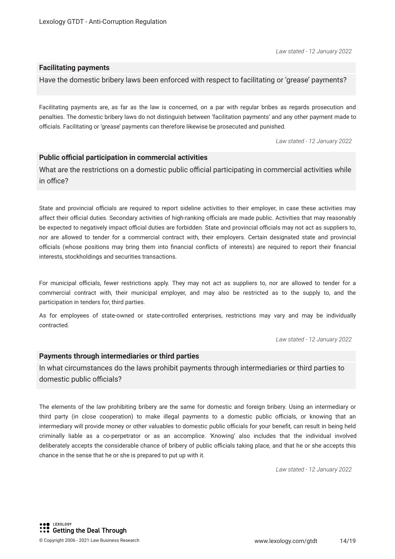*Law stated - 12 January 2022*

#### **Facilitating payments**

Have the domestic bribery laws been enforced with respect to facilitating or 'grease' payments?

Facilitating payments are, as far as the law is concerned, on a par with regular bribes as regards prosecution and penalties. The domestic bribery laws do not distinguish between 'facilitation payments' and any other payment made to officials. Facilitating or 'grease' payments can therefore likewise be prosecuted and punished.

*Law stated - 12 January 2022*

#### **Public official participation in commercial activities**

What are the restrictions on a domestic public official participating in commercial activities while in office?

State and provincial officials are required to report sideline activities to their employer, in case these activities may affect their official duties. Secondary activities of high-ranking officials are made public. Activities that may reasonably be expected to negatively impact official duties are forbidden. State and provincial officials may not act as suppliers to, nor are allowed to tender for a commercial contract with, their employers. Certain designated state and provincial officials (whose positions may bring them into financial conflicts of interests) are required to report their financial interests, stockholdings and securities transactions.

For municipal officials, fewer restrictions apply. They may not act as suppliers to, nor are allowed to tender for a commercial contract with, their municipal employer, and may also be restricted as to the supply to, and the participation in tenders for, third parties.

As for employees of state-owned or state-controlled enterprises, restrictions may vary and may be individually contracted.

*Law stated - 12 January 2022*

#### **Payments through intermediaries or third parties**

In what circumstances do the laws prohibit payments through intermediaries or third parties to domestic public officials?

The elements of the law prohibiting bribery are the same for domestic and foreign bribery. Using an intermediary or third party (in close cooperation) to make illegal payments to a domestic public officials, or knowing that an intermediary will provide money or other valuables to domestic public officials for your benefit, can result in being held criminally liable as a co-perpetrator or as an accomplice. 'Knowing' also includes that the individual involved deliberately accepts the considerable chance of bribery of public officials taking place, and that he or she accepts this chance in the sense that he or she is prepared to put up with it.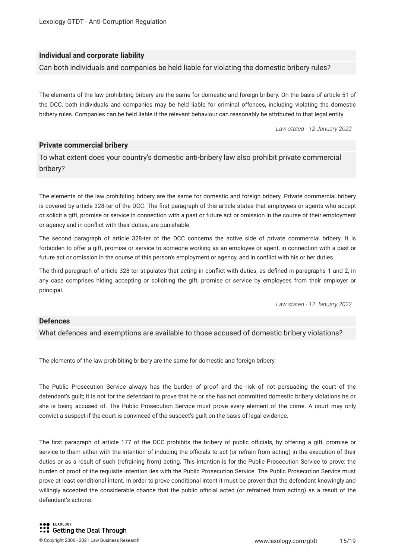#### **Individual and corporate liability**

Can both individuals and companies be held liable for violating the domestic bribery rules?

The elements of the law prohibiting bribery are the same for domestic and foreign bribery. On the basis of article 51 of the DCC, both individuals and companies may be held liable for criminal offences, including violating the domestic bribery rules. Companies can be held liable if the relevant behaviour can reasonably be attributed to that legal entity.

*Law stated - 12 January 2022*

#### **Private commercial bribery**

To what extent does your country's domestic anti-bribery law also prohibit private commercial bribery?

The elements of the law prohibiting bribery are the same for domestic and foreign bribery. Private commercial bribery is covered by article 328-ter of the DCC. The frst paragraph of this article states that employees or agents who accept or solicit a gift, promise or service in connection with a past or future act or omission in the course of their employment or agency and in confict with their duties, are punishable.

The second paragraph of article 328-ter of the DCC concerns the active side of private commercial bribery. It is forbidden to offer a gift, promise or service to someone working as an employee or agent, in connection with a past or future act or omission in the course of this person's employment or agency, and in confict with his or her duties.

The third paragraph of article 328-ter stipulates that acting in confict with duties, as defned in paragraphs 1 and 2, in any case comprises hiding accepting or soliciting the gift, promise or service by employees from their employer or principal.

*Law stated - 12 January 2022*

#### **Defences**

What defences and exemptions are available to those accused of domestic bribery violations?

The elements of the law prohibiting bribery are the same for domestic and foreign bribery.

The Public Prosecution Service always has the burden of proof and the risk of not persuading the court of the defendant's guilt; it is not for the defendant to prove that he or she has not committed domestic bribery violations he or she is being accused of. The Public Prosecution Service must prove every element of the crime. A court may only convict a suspect if the court is convinced of the suspect's guilt on the basis of legal evidence.

The first paragraph of article 177 of the DCC prohibits the bribery of public officials, by offering a gift, promise or service to them either with the intention of inducing the officials to act (or refrain from acting) in the execution of their duties or as a result of such (refraining from) acting. This intention is for the Public Prosecution Service to prove: the burden of proof of the requisite intention lies with the Public Prosecution Service. The Public Prosecution Service must prove at least conditional intent. In order to prove conditional intent it must be proven that the defendant knowingly and willingly accepted the considerable chance that the public official acted (or refrained from acting) as a result of the defendant's actions.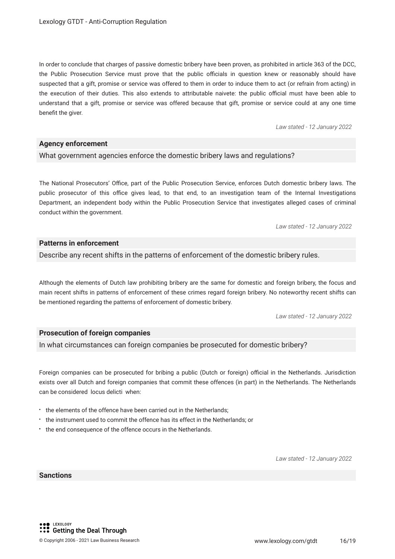In order to conclude that charges of passive domestic bribery have been proven, as prohibited in article 363 of the DCC, the Public Prosecution Service must prove that the public officials in question knew or reasonably should have suspected that a gift, promise or service was offered to them in order to induce them to act (or refrain from acting) in the execution of their duties. This also extends to attributable naivete: the public official must have been able to understand that a gift, promise or service was offered because that gift, promise or service could at any one time benefit the giver.

*Law stated - 12 January 2022*

#### **Agency enforcement**

What government agencies enforce the domestic bribery laws and regulations?

The National Prosecutors' Office, part of the Public Prosecution Service, enforces Dutch domestic bribery laws. The public prosecutor of this office gives lead, to that end, to an investigation team of the Internal Investigations Department, an independent body within the Public Prosecution Service that investigates alleged cases of criminal conduct within the government.

*Law stated - 12 January 2022*

#### **Patterns in enforcement**

Describe any recent shifts in the patterns of enforcement of the domestic bribery rules.

Although the elements of Dutch law prohibiting bribery are the same for domestic and foreign bribery, the focus and main recent shifts in patterns of enforcement of these crimes regard foreign bribery. No noteworthy recent shifts can be mentioned regarding the patterns of enforcement of domestic bribery.

*Law stated - 12 January 2022*

#### **Prosecution of foreign companies**

In what circumstances can foreign companies be prosecuted for domestic bribery?

Foreign companies can be prosecuted for bribing a public (Dutch or foreign) official in the Netherlands. Jurisdiction exists over all Dutch and foreign companies that commit these offences (in part) in the Netherlands. The Netherlands can be considered locus delicti when:

- the elements of the offence have been carried out in the Netherlands:
- the instrument used to commit the offence has its effect in the Netherlands; or
- $\cdot$  the end consequence of the offence occurs in the Netherlands.

*Law stated - 12 January 2022*

#### **Sanctions**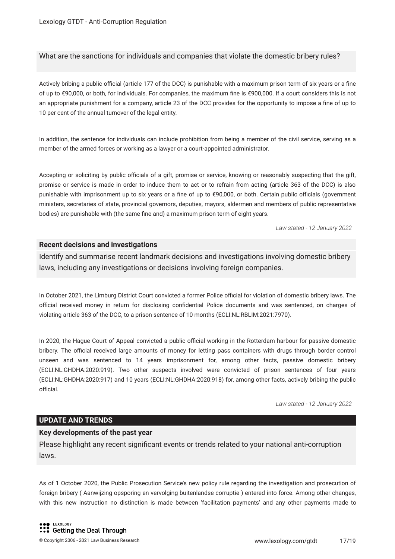What are the sanctions for individuals and companies that violate the domestic bribery rules?

Actively bribing a public official (article 177 of the DCC) is punishable with a maximum prison term of six years or a fine of up to €90,000, or both, for individuals. For companies, the maximum fne is €900,000. If a court considers this is not an appropriate punishment for a company, article 23 of the DCC provides for the opportunity to impose a fne of up to 10 per cent of the annual turnover of the legal entity.

In addition, the sentence for individuals can include prohibition from being a member of the civil service, serving as a member of the armed forces or working as a lawyer or a court-appointed administrator.

Accepting or soliciting by public officials of a gift, promise or service, knowing or reasonably suspecting that the gift, promise or service is made in order to induce them to act or to refrain from acting (article 363 of the DCC) is also punishable with imprisonment up to six years or a fine of up to €90,000, or both. Certain public officials (qovernment ministers, secretaries of state, provincial governors, deputies, mayors, aldermen and members of public representative bodies) are punishable with (the same fne and) a maximum prison term of eight years.

*Law stated - 12 January 2022*

#### **Recent decisions and investigations**

Identify and summarise recent landmark decisions and investigations involving domestic bribery laws, including any investigations or decisions involving foreign companies.

In October 2021, the Limburg District Court convicted a former Police official for violation of domestic bribery laws. The official received money in return for disclosing confidential Police documents and was sentenced, on charges of violating article 363 of the DCC, to a prison sentence of 10 months (ECLI:NL:RBLIM:2021:7970).

In 2020, the Hague Court of Appeal convicted a public official working in the Rotterdam harbour for passive domestic bribery. The official received large amounts of money for letting pass containers with drugs through border control unseen and was sentenced to 14 years imprisonment for, among other facts, passive domestic bribery (ECLI:NL:GHDHA:2020:919). Two other suspects involved were convicted of prison sentences of four years (ECLI:NL:GHDHA:2020:917) and 10 years (ECLI:NL:GHDHA:2020:918) for, among other facts, actively bribing the public official.

*Law stated - 12 January 2022*

#### **UPDATE AND TRENDS**

#### **Key developments of the past year**

Please highlight any recent signifcant events or trends related to your national anti-corruption laws.

As of 1 October 2020, the Public Prosecution Service's new policy rule regarding the investigation and prosecution of foreign bribery ( Aanwijzing opsporing en vervolging buitenlandse corruptie ) entered into force. Among other changes, with this new instruction no distinction is made between 'facilitation payments' and any other payments made to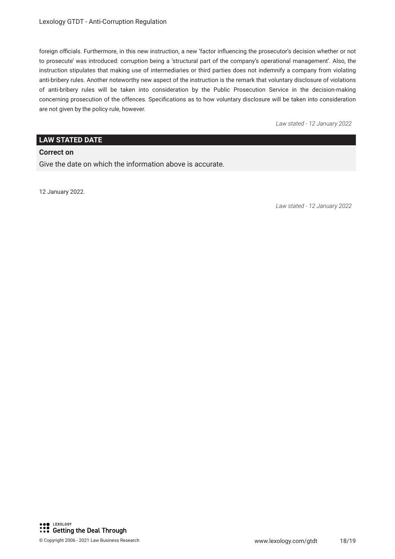foreign officials. Furthermore, in this new instruction, a new 'factor influencing the prosecutor's decision whether or not to prosecute' was introduced: corruption being a 'structural part of the company's operational management'. Also, the instruction stipulates that making use of intermediaries or third parties does not indemnify a company from violating anti-bribery rules. Another noteworthy new aspect of the instruction is the remark that voluntary disclosure of violations of anti-bribery rules will be taken into consideration by the Public Prosecution Service in the decision-making concerning prosecution of the offences. Specifcations as to how voluntary disclosure will be taken into consideration are not given by the policy rule, however.

*Law stated - 12 January 2022*

#### **LAW STATED DATE**

#### **Correct on**

Give the date on which the information above is accurate.

12 January 2022.